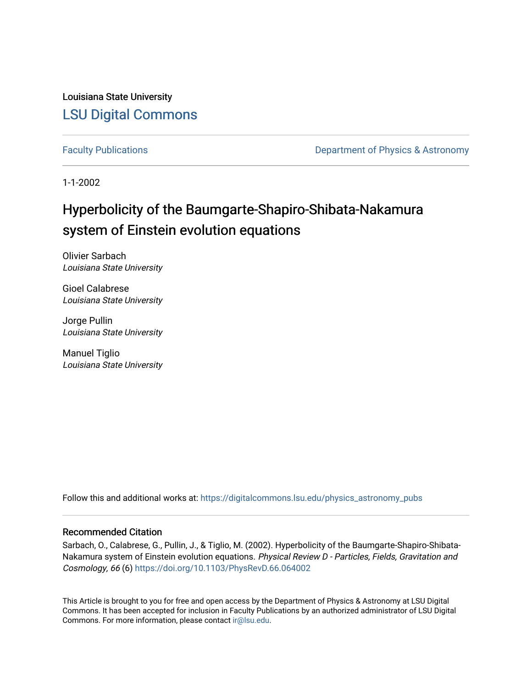Louisiana State University [LSU Digital Commons](https://digitalcommons.lsu.edu/)

[Faculty Publications](https://digitalcommons.lsu.edu/physics_astronomy_pubs) **Exercise 2 and Table 2 and Table 2 and Table 2 and Table 2 and Table 2 and Table 2 and Table 2 and Table 2 and Table 2 and Table 2 and Table 2 and Table 2 and Table 2 and Table 2 and Table 2 and Table** 

1-1-2002

# Hyperbolicity of the Baumgarte-Shapiro-Shibata-Nakamura system of Einstein evolution equations

Olivier Sarbach Louisiana State University

Gioel Calabrese Louisiana State University

Jorge Pullin Louisiana State University

Manuel Tiglio Louisiana State University

Follow this and additional works at: [https://digitalcommons.lsu.edu/physics\\_astronomy\\_pubs](https://digitalcommons.lsu.edu/physics_astronomy_pubs?utm_source=digitalcommons.lsu.edu%2Fphysics_astronomy_pubs%2F4399&utm_medium=PDF&utm_campaign=PDFCoverPages) 

# Recommended Citation

Sarbach, O., Calabrese, G., Pullin, J., & Tiglio, M. (2002). Hyperbolicity of the Baumgarte-Shapiro-Shibata-Nakamura system of Einstein evolution equations. Physical Review D - Particles, Fields, Gravitation and Cosmology, 66 (6)<https://doi.org/10.1103/PhysRevD.66.064002>

This Article is brought to you for free and open access by the Department of Physics & Astronomy at LSU Digital Commons. It has been accepted for inclusion in Faculty Publications by an authorized administrator of LSU Digital Commons. For more information, please contact [ir@lsu.edu](mailto:ir@lsu.edu).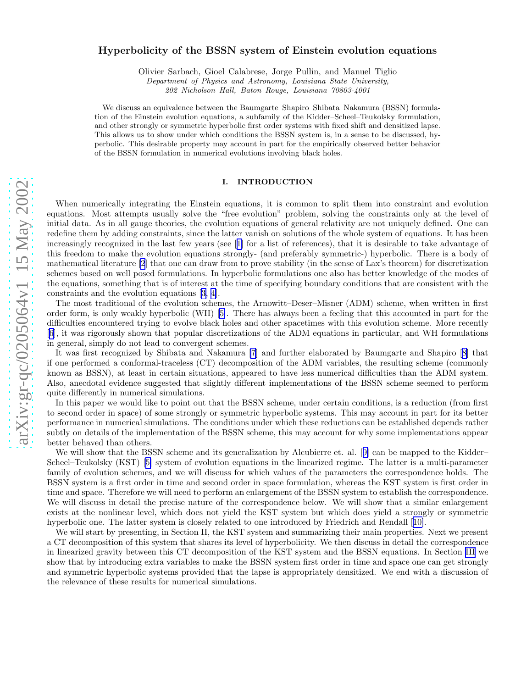# Hyperbolicity of the BSSN system of Einstein evolution equations

Olivier Sarbach, Gioel Calabrese, Jorge Pullin, and Manuel Tiglio

Department of Physics and Astronomy, Louisiana State University,

202 Nicholson Hall, Baton Rouge, Louisiana 70803-4001

We discuss an equivalence between the Baumgarte–Shapiro–Shibata–Nakamura (BSSN) formulation of the Einstein evolution equations, a subfamily of the Kidder–Scheel–Teukolsky formulation, and other strongly or symmetric hyperbolic first order systems with fixed shift and densitized lapse. This allows us to show under which conditions the BSSN system is, in a sense to be discussed, hyperbolic. This desirable property may account in part for the empirically observed better behavior of the BSSN formulation in numerical evolutions involving black holes.

## I. INTRODUCTION

When numerically integrating the Einstein equations, it is common to split them into constraint and evolution equations. Most attempts usually solve the "free evolution" problem, solving the constraints only at the level of initial data. As in all gauge theories, the evolution equations of general relativity are not uniquely defined. One can redefine them by adding constraints, since the latter vanish on solutions of the whole system of equations. It has been increasingly recognized in the last few years (see[[1\]](#page-7-0) for a list of references), that it is desirable to take advantage of this freedom to make the evolution equations strongly- (and preferably symmetric-) hyperbolic. There is a body of mathematical literature [\[2](#page-7-0)] that one can draw from to prove stability (in the sense of Lax's theorem) for discretization schemes based on well posed formulations. In hyperbolic formulations one also has better knowledge of the modes of the equations, something that is of interest at the time of specifying boundary conditions that are consistent with the constraints and the evolution equations[[3, 4\]](#page-7-0).

The most traditional of the evolution schemes, the Arnowitt–Deser–Misner (ADM) scheme, when written in first order form, is only weakly hyperbolic (WH)[[5\]](#page-7-0). There has always been a feeling that this accounted in part for the difficulties encountered trying to evolve black holes and other spacetimes with this evolution scheme. More recently [[6\]](#page-7-0), it was rigorously shown that popular discretizations of the ADM equations in particular, and WH formulations in general, simply do not lead to convergent schemes.

It was first recognized by Shibata and Nakamura [\[7](#page-7-0)] and further elaborated by Baumgarte and Shapiro [\[8\]](#page-7-0) that if one performed a conformal-traceless (CT) decomposition of the ADM variables, the resulting scheme (commonly known as BSSN), at least in certain situations, appeared to have less numerical difficulties than the ADM system. Also, anecdotal evidence suggested that slightly different implementations of the BSSN scheme seemed to perform quite differently in numerical simulations.

In this paper we would like to point out that the BSSN scheme, under certain conditions, is a reduction (from first to second order in space) of some strongly or symmetric hyperbolic systems. This may account in part for its better performance in numerical simulations. The conditions under which these reductions can be established depends rather subtly on details of the implementation of the BSSN scheme, this may account for why some implementations appear better behaved than others.

Wewill show that the BSSN scheme and its generalization by Alcubierre et. al. [[9\]](#page-7-0) can be mapped to the Kidder– Scheel–Teukolsky (KST)[[5\]](#page-7-0) system of evolution equations in the linearized regime. The latter is a multi-parameter family of evolution schemes, and we will discuss for which values of the parameters the correspondence holds. The BSSN system is a first order in time and second order in space formulation, whereas the KST system is first order in time and space. Therefore we will need to perform an enlargement of the BSSN system to establish the correspondence. We will discuss in detail the precise nature of the correspondence below. We will show that a similar enlargement exists at the nonlinear level, which does not yield the KST system but which does yield a strongly or symmetric hyperbolic one. The latter system is closely related to one introduced by Friedrich and Rendall[[10\]](#page-7-0).

We will start by presenting, in Section II, the KST system and summarizing their main properties. Next we present a CT decomposition of this system that shares its level of hyperbolicity. We then discuss in detail the correspondence in linearized gravity between this CT decomposition of the KST system and the BSSN equations. In Section [III](#page-4-0) we show that by introducing extra variables to make the BSSN system first order in time and space one can get strongly and symmetric hyperbolic systems provided that the lapse is appropriately densitized. We end with a discussion of the relevance of these results for numerical simulations.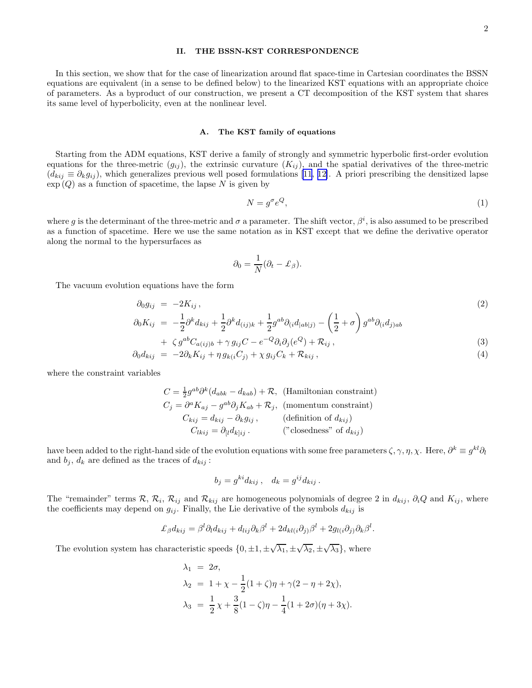## II. THE BSSN-KST CORRESPONDENCE

<span id="page-2-0"></span>In this section, we show that for the case of linearization around flat space-time in Cartesian coordinates the BSSN equations are equivalent (in a sense to be defined below) to the linearized KST equations with an appropriate choice of parameters. As a byproduct of our construction, we present a CT decomposition of the KST system that shares its same level of hyperbolicity, even at the nonlinear level.

#### A. The KST family of equations

Starting from the ADM equations, KST derive a family of strongly and symmetric hyperbolic first-order evolution equations for the three-metric  $(g_{ij})$ , the extrinsic curvature  $(K_{ij})$ , and the spatial derivatives of the three-metric  $(d_{kij} \equiv \partial_k g_{ij})$ , which generalizes previous well posed formulations [\[11](#page-7-0), [12\]](#page-7-0). A priori prescribing the densitized lapse  $\exp{(Q)}$  as a function of spacetime, the lapse  $N$  is given by

$$
N = g^{\sigma} e^{Q},\tag{1}
$$

where g is the determinant of the three-metric and  $\sigma$  a parameter. The shift vector,  $\beta^i$ , is also assumed to be prescribed as a function of spacetime. Here we use the same notation as in KST except that we define the derivative operator along the normal to the hypersurfaces as

$$
\partial_0 = \frac{1}{N}(\partial_t - \pounds_\beta).
$$

The vacuum evolution equations have the form

$$
\begin{aligned}\n\partial_0 g_{ij} &= -2K_{ij}, \\
\partial_0 K_{ij} &= -\frac{1}{2}\partial^k d_{kij} + \frac{1}{2}\partial^k d_{(ij)k} + \frac{1}{2}g^{ab}\partial_{(i}d_{|ab|j)} - \left(\frac{1}{2} + \sigma\right)g^{ab}\partial_{(i}d_{j)ab}\n\end{aligned} \tag{2}
$$

+ 
$$
\zeta g^{ab}C_{a(ij)b} + \gamma g_{ij}C - e^{-Q}\partial_i\partial_j(e^Q) + \mathcal{R}_{ij}
$$
,  
\n $\zeta g^{ab}C_{a(ij)b} + \gamma g_{ij}C - e^{-Q}\partial_i\partial_j(e^Q) + \mathcal{R}_{ij}$ ,  
\n(3)

$$
\partial_0 d_{kij} = -2\partial_k K_{ij} + \eta g_{k(i}C_{j)} + \chi g_{ij}C_k + \mathcal{R}_{kij}, \qquad (4)
$$

where the constraint variables

$$
C = \frac{1}{2}g^{ab}\partial^k(d_{abk} - d_{kab}) + \mathcal{R}, \text{ (Hamiltonian constraint)}
$$
  
\n
$$
C_j = \partial^a K_{aj} - g^{ab}\partial_j K_{ab} + \mathcal{R}_j, \text{ (momentum constraint)}
$$
  
\n
$$
C_{kij} = d_{kij} - \partial_k g_{ij}, \text{ (definition of } d_{kij})
$$
  
\n
$$
C_{lkij} = \partial_{[l}d_{k]ij} \text{ . } \text{ ("closedness" of } d_{kij})
$$

have been added to the right-hand side of the evolution equations with some free parameters  $\zeta$ ,  $\gamma$ ,  $\eta$ ,  $\chi$ . Here,  $\partial^k \equiv g^{kl}\partial_l$ and  $b_j$ ,  $d_k$  are defined as the traces of  $d_{kij}$ :

$$
b_j = g^{ki} d_{kij} , \quad d_k = g^{ij} d_{kij} .
$$

The "remainder" terms  $\mathcal{R}, \mathcal{R}_i, \mathcal{R}_{ij}$  and  $\mathcal{R}_{kij}$  are homogeneous polynomials of degree 2 in  $d_{kij}$ ,  $\partial_i Q$  and  $K_{ij}$ , where the coefficients may depend on  $g_{ij}$ . Finally, the Lie derivative of the symbols  $d_{kij}$  is

$$
\mathcal{L}_{\beta}d_{kij} = \beta^l \partial_l d_{kij} + d_{lij} \partial_k \beta^l + 2 d_{kl(i} \partial_j \beta^l + 2 g_{l(i} \partial_j \partial_k \beta^l.
$$

The evolution system has characteristic speeds  $\{0, \pm 1, \pm \sqrt{\lambda_1}, \pm \sqrt{\lambda_2}, \pm \sqrt{\lambda_3}\}\,$ , where

$$
\lambda_1 = 2\sigma,
$$
  
\n
$$
\lambda_2 = 1 + \chi - \frac{1}{2}(1 + \zeta)\eta + \gamma(2 - \eta + 2\chi),
$$
  
\n
$$
\lambda_3 = \frac{1}{2}\chi + \frac{3}{8}(1 - \zeta)\eta - \frac{1}{4}(1 + 2\sigma)(\eta + 3\chi).
$$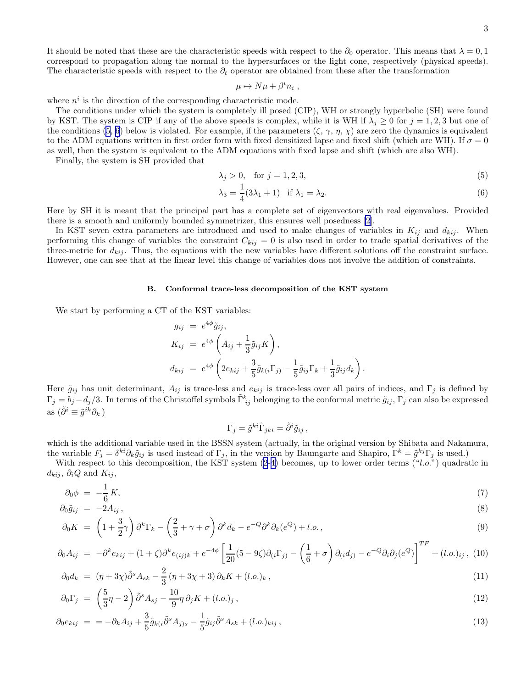<span id="page-3-0"></span>It should be noted that these are the characteristic speeds with respect to the  $\partial_0$  operator. This means that  $\lambda = 0, 1$ correspond to propagation along the normal to the hypersurfaces or the light cone, respectively (physical speeds). The characteristic speeds with respect to the  $\partial_t$  operator are obtained from these after the transformation

$$
\mu \mapsto N\mu + \beta^i n_i ,
$$

where  $n^i$  is the direction of the corresponding characteristic mode.

The conditions under which the system is completely ill posed (CIP), WH or strongly hyperbolic (SH) were found by KST. The system is CIP if any of the above speeds is complex, while it is WH if  $\lambda_j \geq 0$  for  $j = 1, 2, 3$  but one of the conditions [\(5](#page-2-0), [6\)](#page-2-0) below is violated. For example, if the parameters  $(\zeta, \gamma, \eta, \chi)$  are zero the dynamics is equivalent to the ADM equations written in first order form with fixed densitized lapse and fixed shift (which are WH). If  $\sigma = 0$ as well, then the system is equivalent to the ADM equations with fixed lapse and shift (which are also WH).

Finally, the system is SH provided that

$$
\lambda_j > 0, \quad \text{for } j = 1, 2, 3,\tag{5}
$$

$$
\lambda_3 = \frac{1}{4}(3\lambda_1 + 1) \quad \text{if } \lambda_1 = \lambda_2. \tag{6}
$$

Here by SH it is meant that the principal part has a complete set of eigenvectors with real eigenvalues. Provided there is a smooth and uniformly bounded symmetrizer, this ensures well posedness [\[2](#page-7-0)].

In KST seven extra parameters are introduced and used to make changes of variables in  $K_{ij}$  and  $d_{kij}$ . When performing this change of variables the constraint  $C_{kij} = 0$  is also used in order to trade spatial derivatives of the three-metric for  $d_{kij}$ . Thus, the equations with the new variables have different solutions off the constraint surface. However, one can see that at the linear level this change of variables does not involve the addition of constraints.

#### B. Conformal trace-less decomposition of the KST system

We start by performing a CT of the KST variables:

$$
g_{ij} = e^{4\phi} \tilde{g}_{ij},
$$
  
\n
$$
K_{ij} = e^{4\phi} \left( A_{ij} + \frac{1}{3} \tilde{g}_{ij} K \right),
$$
  
\n
$$
d_{kij} = e^{4\phi} \left( 2e_{kij} + \frac{3}{5} \tilde{g}_{k(i} \Gamma_{j)} - \frac{1}{5} \tilde{g}_{ij} \Gamma_k + \frac{1}{3} \tilde{g}_{ij} d_k \right).
$$

Here  $\tilde{g}_{ij}$  has unit determinant,  $A_{ij}$  is trace-less and  $e_{kij}$  is trace-less over all pairs of indices, and  $\Gamma_j$  is defined by  $\Gamma_j = b_j - d_j/3$ . In terms of the Christoffel symbols  $\tilde{\Gamma}^k_{ij}$  belonging to the conformal metric  $\tilde{g}_{ij}$ ,  $\Gamma_j$  can also be expressed as  $(\tilde{\partial}^i \equiv \tilde{g}^{ik} \partial_k)$ 

$$
\Gamma_j = \tilde{g}^{ki}\tilde{\Gamma}_{jki} = \tilde{\partial}^i \tilde{g}_{ij} ,
$$

which is the additional variable used in the BSSN system (actually, in the original version by Shibata and Nakamura, the variable  $F_j = \delta^{ki}\partial_k \tilde{g}_{ij}$  is used instead of  $\Gamma_j$ , in the version by Baumgarte and Shapiro,  $\Gamma^k = \tilde{g}^{kj}\Gamma_j$  is used.)

With respect to this decomposition, the KST system  $(2-4)$  $(2-4)$  becomes, up to lower order terms  $("l.o.")$  quadratic in  $d_{kij}$ ,  $\partial_i Q$  and  $K_{ij}$ ,

$$
\partial_0 \phi = -\frac{1}{6} K,\tag{7}
$$

$$
\partial_0 \tilde{g}_{ij} = -2A_{ij}, \qquad (8)
$$

$$
\partial_0 K = \left(1 + \frac{3}{2}\gamma\right)\partial^k \Gamma_k - \left(\frac{2}{3} + \gamma + \sigma\right)\partial^k d_k - e^{-Q}\partial^k \partial_k (e^Q) + l.o.,\tag{9}
$$

$$
\partial_0 A_{ij} = -\partial^k e_{kij} + (1+\zeta)\partial^k e_{(ij)k} + e^{-4\phi} \left[ \frac{1}{20} (5-9\zeta)\partial_{(i}\Gamma_{j)} - \left(\frac{1}{6} + \sigma\right) \partial_{(i}d_{j)} - e^{-Q}\partial_i\partial_j (e^Q) \right]^{TF} + (l.o.)_{ij},
$$
 (10)

$$
\partial_0 d_k = (\eta + 3\chi)\tilde{\partial}^s A_{sk} - \frac{2}{3} (\eta + 3\chi + 3) \partial_k K + (l.o.)_k , \qquad (11)
$$

$$
\partial_0 \Gamma_j = \left(\frac{5}{3}\eta - 2\right) \tilde{\partial}^s A_{sj} - \frac{10}{9}\eta \partial_j K + (l.o.)_j, \qquad (12)
$$

$$
\partial_0 e_{kij} = -\partial_k A_{ij} + \frac{3}{5} \tilde{g}_{k(i} \tilde{\partial}^s A_{j)s} - \frac{1}{5} \tilde{g}_{ij} \tilde{\partial}^s A_{sk} + (l.o.)_{kij} , \qquad (13)
$$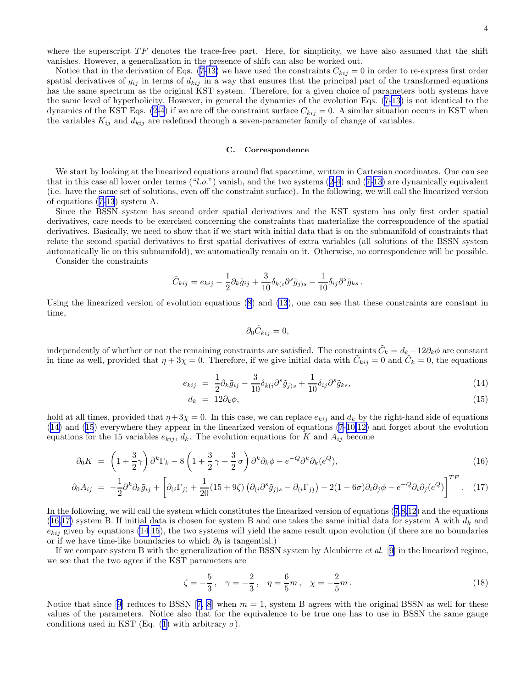<span id="page-4-0"></span>where the superscript  $TF$  denotes the trace-free part. Here, for simplicity, we have also assumed that the shift vanishes. However, a generalization in the presence of shift can also be worked out.

Notice that in the derivation of Eqs. [\(7-13\)](#page-3-0) we have used the constraints  $C_{kij} = 0$  in order to re-express first order spatial derivatives of  $g_{ij}$  in terms of  $d_{kij}$  in a way that ensures that the principal part of the transformed equations has the same spectrum as the original KST system. Therefore, for a given choice of parameters both systems have the same level of hyperbolicity. However, in general the dynamics of the evolution Eqs.([7-13](#page-3-0)) is not identical to the dynamics of the KST Eqs. [\(2-4](#page-2-0)) if we are off the constraint surface  $C_{kij} = 0$ . A similar situation occurs in KST when the variables  $K_{ij}$  and  $d_{kij}$  are redefined through a seven-parameter family of change of variables.

#### C. Correspondence

We start by looking at the linearized equations around flat spacetime, written in Cartesian coordinates. One can see thatin this case all lower order terms  $("l.o.")$  vanish, and the two systems  $(2-4)$  $(2-4)$  $(2-4)$  and  $(7-13)$  $(7-13)$  $(7-13)$  are dynamically equivalent (i.e. have the same set of solutions, even off the constraint surface). In the following, we will call the linearized version of equations([7-13](#page-3-0)) system A.

Since the BSSN system has second order spatial derivatives and the KST system has only first order spatial derivatives, care needs to be exercised concerning the constraints that materialize the correspondence of the spatial derivatives. Basically, we need to show that if we start with initial data that is on the submanifold of constraints that relate the second spatial derivatives to first spatial derivatives of extra variables (all solutions of the BSSN system automatically lie on this submanifold), we automatically remain on it. Otherwise, no correspondence will be possible.

Consider the constraints

$$
\tilde{C}_{kij} = e_{kij} - \frac{1}{2}\partial_k \tilde{g}_{ij} + \frac{3}{10}\delta_{k(i}\partial^s \tilde{g}_{j)s} - \frac{1}{10}\delta_{ij}\partial^s \tilde{g}_{ks}.
$$

Using the linearized version of evolution equations([8\)](#page-3-0) and [\(13](#page-3-0)), one can see that these constraints are constant in time,

$$
\partial_0 \tilde{C}_{kij} = 0,
$$

independently of whether or not the remaining constraints are satisfied. The constraints  $\tilde{C}_k = d_k - 12\partial_k \phi$  are constant in time as well, provided that  $\eta + 3\chi = 0$ . Therefore, if we give initial data with  $\tilde{C}_{kij} = 0$  and  $\tilde{C}_k = 0$ , the equations

$$
e_{kij} = \frac{1}{2}\partial_k \tilde{g}_{ij} - \frac{3}{10}\delta_{k(i}\partial^s \tilde{g}_{j)s} + \frac{1}{10}\delta_{ij}\partial^s \tilde{g}_{ks},\tag{14}
$$

$$
d_k = 12\partial_k \phi,\tag{15}
$$

hold at all times, provided that  $\eta + 3\chi = 0$ . In this case, we can replace  $e_{kij}$  and  $d_k$  by the right-hand side of equations (14) and (15) everywhere they appear in the linearized version of equations [\(7](#page-3-0)-[10,12\)](#page-3-0) and forget about the evolution equations for the 15 variables  $e_{kij}$ ,  $d_k$ . The evolution equations for K and  $A_{ij}$  become

$$
\partial_0 K = \left(1 + \frac{3}{2}\gamma\right)\partial^k \Gamma_k - 8\left(1 + \frac{3}{2}\gamma + \frac{3}{2}\sigma\right)\partial^k \partial_k \phi - e^{-Q}\partial^k \partial_k (e^Q),\tag{16}
$$

$$
\partial_0 A_{ij} = -\frac{1}{2} \partial^k \partial_k \tilde{g}_{ij} + \left[ \partial_{(i} \Gamma_{j)} + \frac{1}{20} (15 + 9\zeta) \left( \partial_{(i} \partial^s \tilde{g}_{j)s} - \partial_{(i} \Gamma_{j)} \right) - 2(1 + 6\sigma) \partial_i \partial_j \phi - e^{-Q} \partial_i \partial_j (e^Q) \right]^{TF}.
$$
 (17)

In the following, we will call the system which constitutes the linearized version of equations([7,8,12\)](#page-3-0) and the equations (16,17) system B. If initial data is chosen for system B and one takes the same initial data for system A with  $d_k$  and  $e_{kij}$  given by equations (14,15), the two systems will yield the same result upon evolution (if there are no boundaries or if we have time-like boundaries to which  $\partial_0$  is tangential.)

If we compare system B with the generalization of the BSSN system by Alcubierre *et al.* [\[9](#page-7-0)] in the linearized regime, we see that the two agree if the KST parameters are

$$
\zeta = -\frac{5}{3}, \quad \gamma = -\frac{2}{3}, \quad \eta = \frac{6}{5}m, \quad \chi = -\frac{2}{5}m. \tag{18}
$$

Noticethat since [[9](#page-7-0)] reduces to BSSN [[7, 8](#page-7-0)] when  $m = 1$ , system B agrees with the original BSSN as well for these values of the parameters. Notice also that for the equivalence to be true one has to use in BSSN the same gauge conditionsused in KST (Eq. ([1\)](#page-2-0) with arbitrary  $\sigma$ ).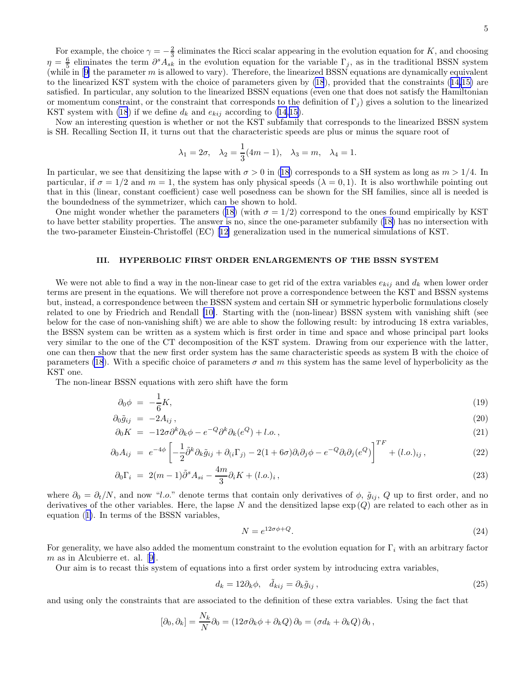<span id="page-5-0"></span>For example, the choice  $\gamma = -\frac{2}{3}$  eliminates the Ricci scalar appearing in the evolution equation for K, and choosing  $\eta = \frac{6}{5}$  eliminates the term  $\partial^s A_{sk}$  in the evolution equation for the variable  $\Gamma_j$ , as in the traditional BSSN system (whilein  $[9]$  $[9]$  the parameter m is allowed to vary). Therefore, the linearized BSSN equations are dynamically equivalent to the linearized KST system with the choice of parameters given by [\(18](#page-4-0)), provided that the constraints([14,15\)](#page-4-0) are satisfied. In particular, any solution to the linearized BSSN equations (even one that does not satisfy the Hamiltonian or momentum constraint, or the constraint that corresponds to the definition of  $\Gamma_i$ ) gives a solution to the linearized KST system with [\(18](#page-4-0)) if we define  $d_k$  and  $e_{kij}$  according to [\(14](#page-4-0),[15](#page-4-0)).

Now an interesting question is whether or not the KST subfamily that corresponds to the linearized BSSN system is SH. Recalling Section II, it turns out that the characteristic speeds are plus or minus the square root of

$$
\lambda_1 = 2\sigma, \quad \lambda_2 = \frac{1}{3}(4m - 1), \quad \lambda_3 = m, \quad \lambda_4 = 1.
$$

In particular, we see that densitizing the lapse with  $\sigma > 0$  in [\(18](#page-4-0)) corresponds to a SH system as long as  $m > 1/4$ . In particular, if  $\sigma = 1/2$  and  $m = 1$ , the system has only physical speeds  $(\lambda = 0, 1)$ . It is also worthwhile pointing out that in this (linear, constant coefficient) case well posedness can be shown for the SH families, since all is needed is the boundedness of the symmetrizer, which can be shown to hold.

Onemight wonder whether the parameters ([18\)](#page-4-0) (with  $\sigma = 1/2$ ) correspond to the ones found empirically by KST to have better stability properties. The answer is no, since the one-parameter subfamily([18\)](#page-4-0) has no intersection with the two-parameter Einstein-Christoffel (EC)[[12\]](#page-7-0) generalization used in the numerical simulations of KST.

# III. HYPERBOLIC FIRST ORDER ENLARGEMENTS OF THE BSSN SYSTEM

We were not able to find a way in the non-linear case to get rid of the extra variables  $e_{kij}$  and  $d_k$  when lower order terms are present in the equations. We will therefore not prove a correspondence between the KST and BSSN systems but, instead, a correspondence between the BSSN system and certain SH or symmetric hyperbolic formulations closely related to one by Friedrich and Rendall [\[10\]](#page-7-0). Starting with the (non-linear) BSSN system with vanishing shift (see below for the case of non-vanishing shift) we are able to show the following result: by introducing 18 extra variables, the BSSN system can be written as a system which is first order in time and space and whose principal part looks very similar to the one of the CT decomposition of the KST system. Drawing from our experience with the latter, one can then show that the new first order system has the same characteristic speeds as system B with the choice of parameters [\(18](#page-4-0)). With a specific choice of parameters  $\sigma$  and m this system has the same level of hyperbolicity as the KST one.

The non-linear BSSN equations with zero shift have the form

$$
\partial_0 \phi = -\frac{1}{6}K,\tag{19}
$$

$$
\partial_0 \tilde{g}_{ij} = -2A_{ij},\tag{20}
$$

$$
\partial_0 K = -12\sigma \partial^k \partial_k \phi - e^{-Q} \partial^k \partial_k (e^Q) + l.o., \qquad (21)
$$

$$
\partial_0 A_{ij} = e^{-4\phi} \left[ -\frac{1}{2} \tilde{\partial}^k \partial_k \tilde{g}_{ij} + \partial_{(i} \Gamma_{j)} - 2(1 + 6\sigma) \partial_i \partial_j \phi - e^{-Q} \partial_i \partial_j (e^Q) \right]^{TF} + (l.o.)_{ij}, \tag{22}
$$

$$
\partial_0 \Gamma_i = 2(m-1)\tilde{\partial}^s A_{si} - \frac{4m}{3} \partial_i K + (l.o.)_i, \qquad (23)
$$

where  $\partial_0 = \partial_t/N$ , and now "l.o." denote terms that contain only derivatives of  $\phi$ ,  $\tilde{g}_{ij}$ , Q up to first order, and no derivatives of the other variables. Here, the lapse  $N$  and the densitized lapse  $\exp(Q)$  are related to each other as in equation([1\)](#page-2-0). In terms of the BSSN variables,

$$
N = e^{12\sigma\phi + Q}.\tag{24}
$$

For generality, we have also added the momentum constraint to the evolution equation for  $\Gamma_i$  with an arbitrary factor m as in Alcubierre et. al.[[9\]](#page-7-0).

Our aim is to recast this system of equations into a first order system by introducing extra variables,

$$
d_k = 12\partial_k \phi, \quad \tilde{d}_{kij} = \partial_k \tilde{g}_{ij},\tag{25}
$$

and using only the constraints that are associated to the definition of these extra variables. Using the fact that

$$
[\partial_0, \partial_k] = \frac{N_k}{N} \partial_0 = (12\sigma \partial_k \phi + \partial_k Q) \partial_0 = (\sigma d_k + \partial_k Q) \partial_0,
$$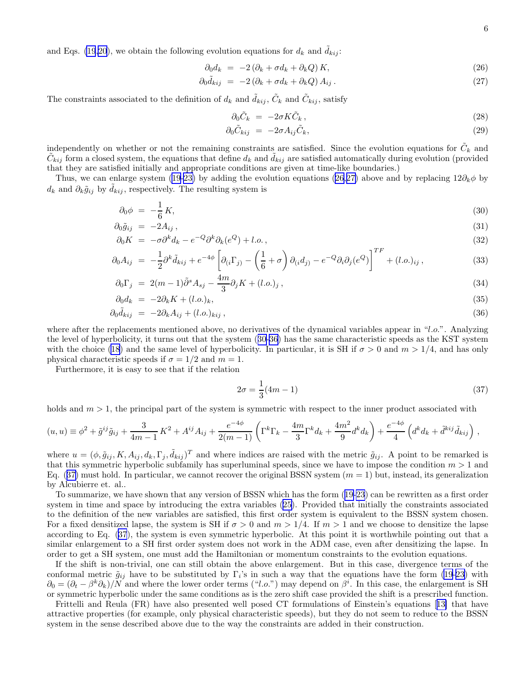and Eqs. [\(19,20](#page-5-0)), we obtain the following evolution equations for  $d_k$  and  $d_{kij}$ :

$$
\partial_0 d_k = -2 (\partial_k + \sigma d_k + \partial_k Q) K, \qquad (26)
$$

$$
\partial_0 \tilde{d}_{kij} = -2(\partial_k + \sigma d_k + \partial_k Q) A_{ij}.
$$
\n(27)

The constraints associated to the definition of  $d_k$  and  $\tilde{d}_{kij}$ ,  $\tilde{C}_k$  and  $\tilde{C}_{kij}$ , satisfy

$$
\partial_0 \tilde{C}_k = -2\sigma K \tilde{C}_k, \qquad (28)
$$

$$
\partial_0 \tilde{C}_{kij} = -2\sigma A_{ij} \tilde{C}_k, \qquad (29)
$$

independently on whether or not the remaining constraints are satisfied. Since the evolution equations for  $\tilde{C}_k$  and  $\tilde{C}_{kij}$  form a closed system, the equations that define  $d_k$  and  $\tilde{d}_{kij}$  are satisfied automatically during evolution (provided that they are satisfied initially and appropriate conditions are given at time-like boundaries.)

Thus, we can enlarge system [\(19-23\)](#page-5-0) by adding the evolution equations (26,27) above and by replacing 12∂k $\phi$  by  $d_k$  and  $\partial_k \tilde{g}_{ij}$  by  $d_{kij}$ , respectively. The resulting system is

$$
\partial_0 \phi = -\frac{1}{6} K,\tag{30}
$$

$$
\partial_0 \tilde{g}_{ij} = -2A_{ij}, \qquad (31)
$$

$$
\partial_0 K = -\sigma \partial^k d_k - e^{-Q} \partial^k \partial_k (e^Q) + l.o., \qquad (32)
$$

$$
\partial_0 A_{ij} = -\frac{1}{2} \partial^k \tilde{d}_{kij} + e^{-4\phi} \left[ \partial_{(i} \Gamma_{j)} - \left( \frac{1}{6} + \sigma \right) \partial_{(i} d_{j)} - e^{-Q} \partial_i \partial_j (e^Q) \right]^{TF} + (l.o.)_{ij} , \qquad (33)
$$

$$
\partial_0 \Gamma_j = 2(m-1)\tilde{\partial}^s A_{sj} - \frac{4m}{3} \partial_j K + (l.o.)_j , \qquad (34)
$$

$$
\partial_0 d_k = -2\partial_k K + (l.o.)_k,\tag{35}
$$

$$
\partial_0 \tilde{d}_{kij} = -2\partial_k A_{ij} + (l.o.)_{kij}, \qquad (36)
$$

where after the replacements mentioned above, no derivatives of the dynamical variables appear in "l.o.". Analyzing the level of hyperbolicity, it turns out that the system (30-36) has the same characteristic speeds as the KST system withthe choice ([18\)](#page-4-0) and the same level of hyperbolicity. In particular, it is SH if  $\sigma > 0$  and  $m > 1/4$ , and has only physical characteristic speeds if  $\sigma = 1/2$  and  $m = 1$ .

Furthermore, it is easy to see that if the relation

$$
2\sigma = \frac{1}{3}(4m - 1)
$$
\n(37)

holds and  $m > 1$ , the principal part of the system is symmetric with respect to the inner product associated with

$$
(u, u) \equiv \phi^2 + \tilde{g}^{ij}\tilde{g}_{ij} + \frac{3}{4m-1}K^2 + A^{ij}A_{ij} + \frac{e^{-4\phi}}{2(m-1)}\left(\Gamma^k\Gamma_k - \frac{4m}{3}\Gamma^k d_k + \frac{4m^2}{9}d^k d_k\right) + \frac{e^{-4\phi}}{4}\left(d^k d_k + \tilde{d}^{kij}\tilde{d}_{kij}\right),
$$

where  $u = (\phi, \tilde{g}_{ij}, K, A_{ij}, d_k, \Gamma_j, \tilde{d}_{kij})^T$  and where indices are raised with the metric  $\tilde{g}_{ij}$ . A point to be remarked is that this symmetric hyperbolic subfamily has superluminal speeds, since we have to impose the condition  $m > 1$  and Eq.  $(37)$  must hold. In particular, we cannot recover the original BSSN system  $(m = 1)$  but, instead, its generalization by Alcubierre et. al..

To summarize, we have shown that any version of BSSN which has the form([19-23](#page-5-0)) can be rewritten as a first order system in time and space by introducing the extra variables([25\)](#page-5-0). Provided that initially the constraints associated to the definition of the new variables are satisfied, this first order system is equivalent to the BSSN system chosen. For a fixed densitized lapse, the system is SH if  $\sigma > 0$  and  $m > 1/4$ . If  $m > 1$  and we choose to densitize the lapse according to Eq. (37), the system is even symmetric hyperbolic. At this point it is worthwhile pointing out that a similar enlargement to a SH first order system does not work in the ADM case, even after densitizing the lapse. In order to get a SH system, one must add the Hamiltonian or momentum constraints to the evolution equations.

If the shift is non-trivial, one can still obtain the above enlargement. But in this case, divergence terms of the conformal metric  $\tilde{g}_{ij}$  have to be substituted by  $\Gamma_i$ 's in such a way that the equations have the form [\(19](#page-5-0)-[23\)](#page-5-0) with  $\partial_0 = (\partial_t - \beta^k \partial_k)/N$  and where the lower order terms ("l.o.") may depend on  $\beta^i$ . In this case, the enlargement is SH or symmetric hyperbolic under the same conditions as is the zero shift case provided the shift is a prescribed function.

Frittelli and Reula (FR) have also presented well posed CT formulations of Einstein's equations[[13\]](#page-7-0) that have attractive properties (for example, only physical characteristic speeds), but they do not seem to reduce to the BSSN system in the sense described above due to the way the constraints are added in their construction.